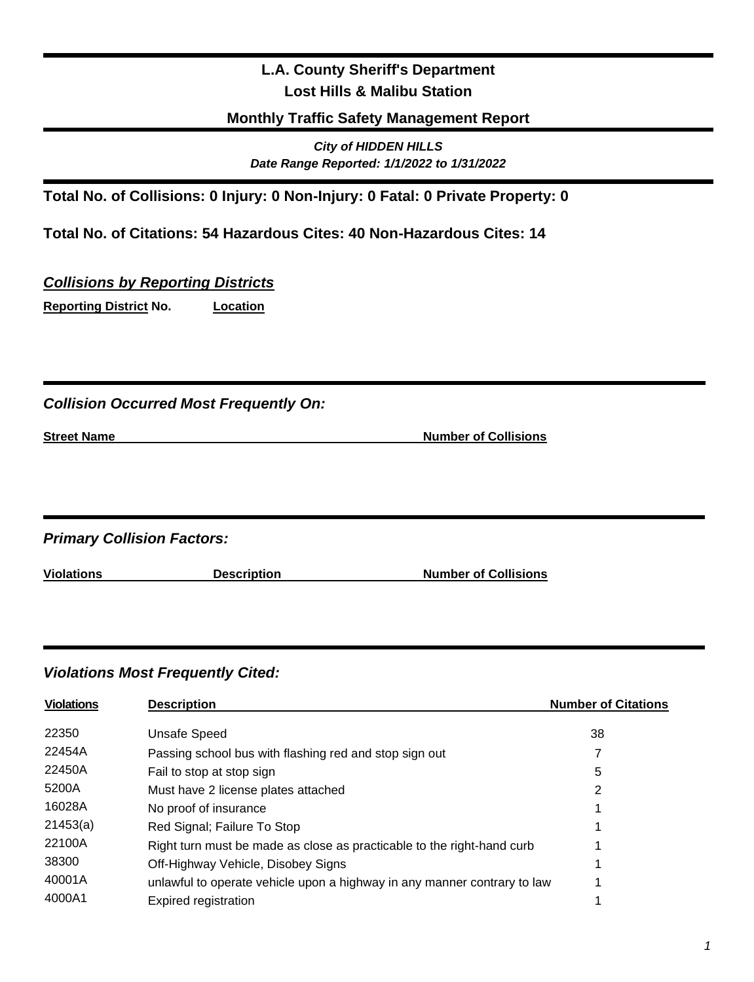# **L.A. County Sheriff's Department Lost Hills & Malibu Station**

### **Monthly Traffic Safety Management Report**

*City of HIDDEN HILLS Date Range Reported: 1/1/2022 to 1/31/2022*

**Total No. of Collisions: 0 Injury: 0 Non-Injury: 0 Fatal: 0 Private Property: 0** 

**Total No. of Citations: 54 Hazardous Cites: 40 Non-Hazardous Cites: 14**

### *Collisions by Reporting Districts*

**Reporting District No. Location** 

### *Collision Occurred Most Frequently On:*

| <b>Street Name</b> |
|--------------------|
|--------------------|

**Number of Collisions** 

*Primary Collision Factors:*

**Violations Description Number of Collisions**

### *Violations Most Frequently Cited:*

| <b>Violations</b> | <b>Description</b>                                                       | <b>Number of Citations</b> |
|-------------------|--------------------------------------------------------------------------|----------------------------|
| 22350             | <b>Unsafe Speed</b>                                                      | 38                         |
| 22454A            | Passing school bus with flashing red and stop sign out                   | 7                          |
| 22450A            | Fail to stop at stop sign                                                | 5                          |
| 5200A             | Must have 2 license plates attached                                      | 2                          |
| 16028A            | No proof of insurance                                                    |                            |
| 21453(a)          | Red Signal; Failure To Stop                                              |                            |
| 22100A            | Right turn must be made as close as practicable to the right-hand curb   |                            |
| 38300             | Off-Highway Vehicle, Disobey Signs                                       |                            |
| 40001A            | unlawful to operate vehicle upon a highway in any manner contrary to law |                            |
| 4000A1            | Expired registration                                                     |                            |